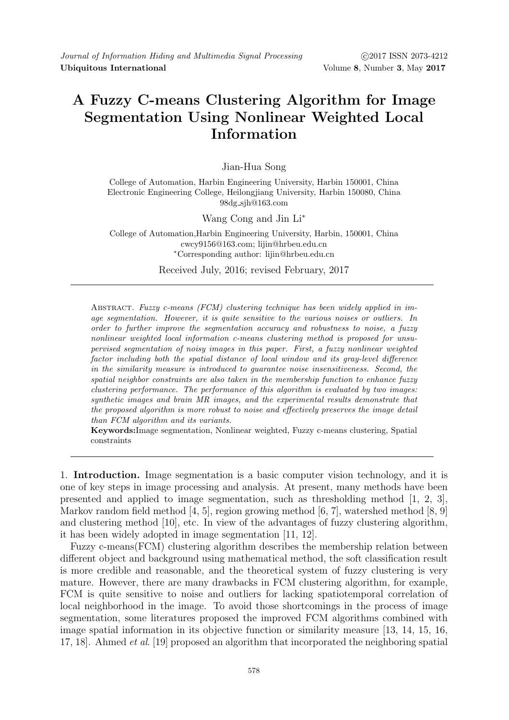## **A Fuzzy C-means Clustering Algorithm for Image Segmentation Using Nonlinear Weighted Local Information**

Jian-Hua Song

College of Automation, Harbin Engineering University, Harbin 150001, China Electronic Engineering College, Heilongjiang University, Harbin 150080, China 98dg sjh@163.com

Wang Cong and Jin Li*<sup>∗</sup>*

College of Automation,Harbin Engineering University, Harbin, 150001, China cwcy9156@163.com; lijin@hrbeu.edu.cn *<sup>∗</sup>*Corresponding author: lijin@hrbeu.edu.cn

Received July, 2016; revised February, 2017

Abstract. *Fuzzy c-means (FCM) clustering technique has been widely applied in image segmentation. However, it is quite sensitive to the various noises or outliers. In order to further improve the segmentation accuracy and robustness to noise, a fuzzy nonlinear weighted local information c-means clustering method is proposed for unsupervised segmentation of noisy images in this paper. First, a fuzzy nonlinear weighted factor including both the spatial distance of local window and its gray-level difference in the similarity measure is introduced to guarantee noise insensitiveness. Second, the spatial neighbor constraints are also taken in the membership function to enhance fuzzy clustering performance. The performance of this algorithm is evaluated by two images: synthetic images and brain MR images, and the experimental results demonstrate that the proposed algorithm is more robust to noise and effectively preserves the image detail than FCM algorithm and its variants.*

**Keywords:**Image segmentation, Nonlinear weighted, Fuzzy c-means clustering, Spatial constraints

1. **Introduction.** Image segmentation is a basic computer vision technology, and it is one of key steps in image processing and analysis. At present, many methods have been presented and applied to image segmentation, such as thresholding method [1, 2, 3], Markov random field method [4, 5], region growing method [6, 7], watershed method [8, 9] and clustering method [10], etc. In view of the advantages of fuzzy clustering algorithm, it has been widely adopted in image segmentation [11, 12].

Fuzzy c-means(FCM) clustering algorithm describes the membership relation between different object and background using mathematical method, the soft classification result is more credible and reasonable, and the theoretical system of fuzzy clustering is very mature. However, there are many drawbacks in FCM clustering algorithm, for example, FCM is quite sensitive to noise and outliers for lacking spatiotemporal correlation of local neighborhood in the image. To avoid those shortcomings in the process of image segmentation, some literatures proposed the improved FCM algorithms combined with image spatial information in its objective function or similarity measure [13, 14, 15, 16, 17, 18]. Ahmed *et al*. [19] proposed an algorithm that incorporated the neighboring spatial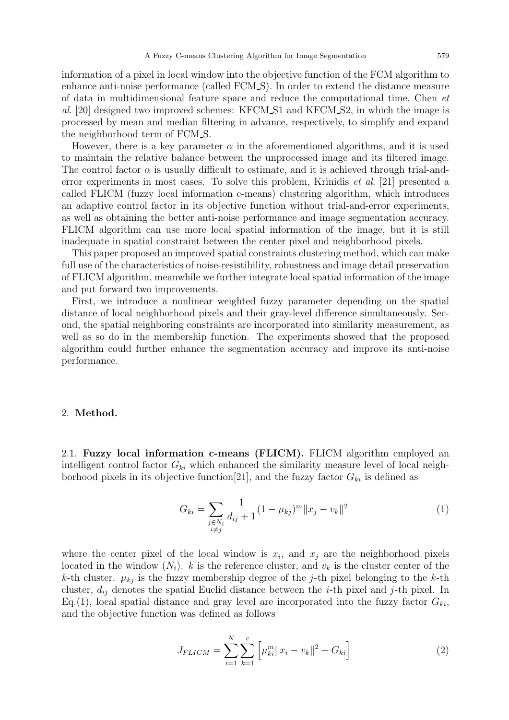information of a pixel in local window into the objective function of the FCM algorithm to enhance anti-noise performance (called FCM S). In order to extend the distance measure of data in multidimensional feature space and reduce the computational time, Chen *et al*. [20] designed two improved schemes: KFCM S1 and KFCM S2, in which the image is processed by mean and median filtering in advance, respectively, to simplify and expand the neighborhood term of FCM S.

However, there is a key parameter  $\alpha$  in the aforementioned algorithms, and it is used to maintain the relative balance between the unprocessed image and its filtered image. The control factor  $\alpha$  is usually difficult to estimate, and it is achieved through trial-anderror experiments in most cases. To solve this problem, Krinidis *et al*. [21] presented a called FLICM (fuzzy local information c-means) clustering algorithm, which introduces an adaptive control factor in its objective function without trial-and-error experiments, as well as obtaining the better anti-noise performance and image segmentation accuracy. FLICM algorithm can use more local spatial information of the image, but it is still inadequate in spatial constraint between the center pixel and neighborhood pixels.

This paper proposed an improved spatial constraints clustering method, which can make full use of the characteristics of noise-resistibility, robustness and image detail preservation of FLICM algorithm, meanwhile we further integrate local spatial information of the image and put forward two improvements.

First, we introduce a nonlinear weighted fuzzy parameter depending on the spatial distance of local neighborhood pixels and their gray-level difference simultaneously. Second, the spatial neighboring constraints are incorporated into similarity measurement, as well as so do in the membership function. The experiments showed that the proposed algorithm could further enhance the segmentation accuracy and improve its anti-noise performance.

## 2. **Method.**

2.1. **Fuzzy local information c-means (FLICM).** FLICM algorithm employed an intelligent control factor  $G_{ki}$  which enhanced the similarity measure level of local neighborhood pixels in its objective function  $[21]$ , and the fuzzy factor  $G_{ki}$  is defined as

$$
G_{ki} = \sum_{\substack{j \in N_i \\ i \neq j}} \frac{1}{d_{ij} + 1} (1 - \mu_{kj})^m \|x_j - v_k\|^2 \tag{1}
$$

where the center pixel of the local window is  $x_i$ , and  $x_j$  are the neighborhood pixels located in the window  $(N_i)$ . *k* is the reference cluster, and  $v_k$  is the cluster center of the *k*-th cluster.  $\mu_{kj}$  is the fuzzy membership degree of the *j*-th pixel belonging to the *k*-th cluster, *dij* denotes the spatial Euclid distance between the *i*-th pixel and *j*-th pixel. In Eq.(1), local spatial distance and gray level are incorporated into the fuzzy factor  $G_{ki}$ , and the objective function was defined as follows

$$
J_{FLICM} = \sum_{i=1}^{N} \sum_{k=1}^{c} \left[ \mu_{ki}^{m} ||x_i - v_k||^2 + G_{ki} \right]
$$
 (2)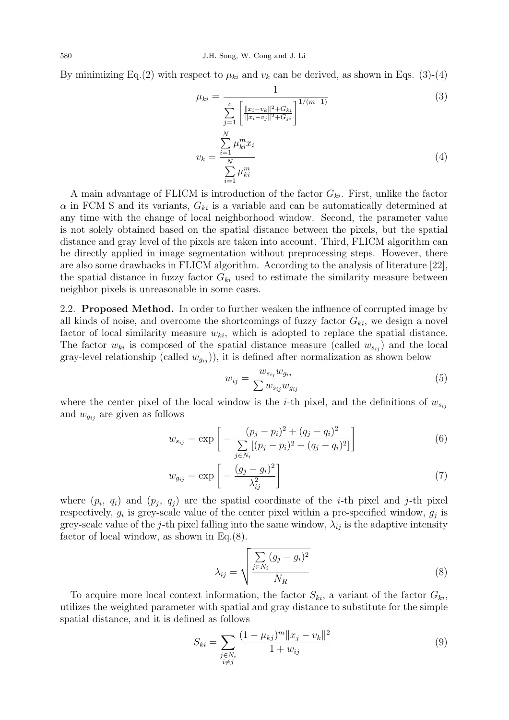By minimizing Eq.(2) with respect to  $\mu_{ki}$  and  $v_k$  can be derived, as shown in Eqs. (3)-(4)

$$
\mu_{ki} = \frac{1}{\sum_{j=1}^{c} \left[ \frac{\|x_i - v_k\|^2 + G_{ki}}{\|x_i - v_j\|^2 + G_{ji}} \right]^{1/(m-1)}}
$$
(3)

$$
v_k = \frac{\sum\limits_{i=1}^{N} \mu_{ki}^m x_i}{\sum\limits_{i=1}^{N} \mu_{ki}^m}
$$
\n
$$
(4)
$$

A main advantage of FLICM is introduction of the factor *Gki*. First, unlike the factor  $\alpha$  in FCM S and its variants,  $G_{ki}$  is a variable and can be automatically determined at any time with the change of local neighborhood window. Second, the parameter value is not solely obtained based on the spatial distance between the pixels, but the spatial distance and gray level of the pixels are taken into account. Third, FLICM algorithm can be directly applied in image segmentation without preprocessing steps. However, there are also some drawbacks in FLICM algorithm. According to the analysis of literature [22], the spatial distance in fuzzy factor  $G_{ki}$  used to estimate the similarity measure between neighbor pixels is unreasonable in some cases.

2.2. **Proposed Method.** In order to further weaken the influence of corrupted image by all kinds of noise, and overcome the shortcomings of fuzzy factor  $G_{ki}$ , we design a novel factor of local similarity measure  $w_{ki}$ , which is adopted to replace the spatial distance. The factor  $w_{ki}$  is composed of the spatial distance measure (called  $w_{s_{ij}}$ ) and the local gray-level relationship (called  $w_{g_{ij}}$ )), it is defined after normalization as shown below

$$
w_{ij} = \frac{w_{s_{ij}} w_{g_{ij}}}{\sum w_{s_{ij}} w_{g_{ij}}} \tag{5}
$$

where the center pixel of the local window is the *i*-th pixel, and the definitions of  $w_{s_{ij}}$ and  $w_{g_{ij}}$  are given as follows

$$
w_{s_{ij}} = \exp\left[-\frac{(p_j - p_i)^2 + (q_j - q_i)^2}{\sum\limits_{j \in N_i} [(p_j - p_i)^2 + (q_j - q_i)^2]}\right]
$$
(6)

$$
w_{g_{ij}} = \exp\left[-\frac{(g_j - g_i)^2}{\lambda_{ij}^2}\right] \tag{7}
$$

where  $(p_i, q_i)$  and  $(p_j, q_j)$  are the spatial coordinate of the *i*-th pixel and *j*-th pixel respectively,  $g_i$  is grey-scale value of the center pixel within a pre-specified window,  $g_j$  is grey-scale value of the *j*-th pixel falling into the same window,  $\lambda_{ij}$  is the adaptive intensity factor of local window, as shown in Eq.(8).

$$
\lambda_{ij} = \sqrt{\frac{\sum_{j \in N_i} (g_j - g_i)^2}{N_R}}
$$
\n(8)

To acquire more local context information, the factor  $S_{ki}$ , a variant of the factor  $G_{ki}$ , utilizes the weighted parameter with spatial and gray distance to substitute for the simple spatial distance, and it is defined as follows

$$
S_{ki} = \sum_{\substack{j \in N_i \\ i \neq j}} \frac{(1 - \mu_{kj})^m ||x_j - v_k||^2}{1 + w_{ij}}
$$
(9)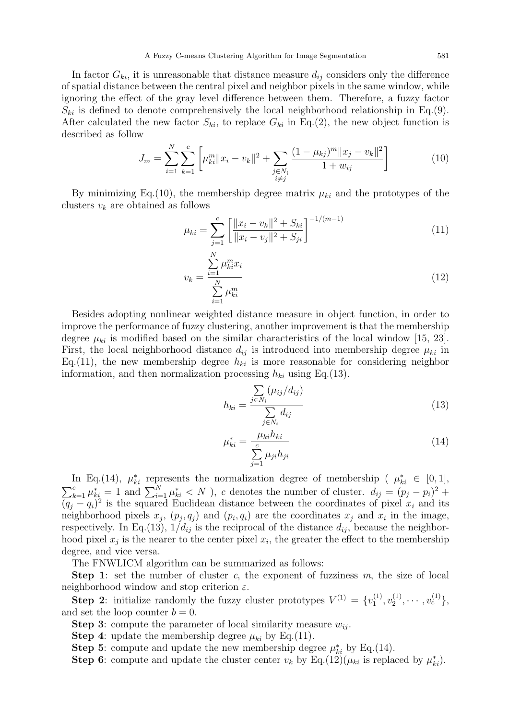In factor  $G_{ki}$ , it is unreasonable that distance measure  $d_{ij}$  considers only the difference of spatial distance between the central pixel and neighbor pixels in the same window, while ignoring the effect of the gray level difference between them. Therefore, a fuzzy factor  $S_{ki}$  is defined to denote comprehensively the local neighborhood relationship in Eq.(9). After calculated the new factor  $S_{ki}$ , to replace  $G_{ki}$  in Eq.(2), the new object function is described as follow

$$
J_m = \sum_{i=1}^{N} \sum_{k=1}^{c} \left[ \mu_{ki}^m \|x_i - v_k\|^2 + \sum_{\substack{j \in N_i \\ i \neq j}} \frac{(1 - \mu_{kj})^m \|x_j - v_k\|^2}{1 + w_{ij}} \right]
$$
(10)

By minimizing Eq.(10), the membership degree matrix  $\mu_{ki}$  and the prototypes of the clusters *v<sup>k</sup>* are obtained as follows

$$
\mu_{ki} = \sum_{j=1}^{c} \left[ \frac{\|x_i - v_k\|^2 + S_{ki}}{\|x_i - v_j\|^2 + S_{ji}} \right]^{-1/(m-1)}
$$
\n(11)

$$
v_k = \frac{\sum_{i=1}^{N} \mu_{ki}^m x_i}{\sum_{i=1}^{N} \mu_{ki}^m}
$$
 (12)

Besides adopting nonlinear weighted distance measure in object function, in order to improve the performance of fuzzy clustering, another improvement is that the membership degree  $\mu_{ki}$  is modified based on the similar characteristics of the local window [15, 23]. First, the local neighborhood distance  $d_{ij}$  is introduced into membership degree  $\mu_{ki}$  in Eq.(11), the new membership degree  $h_{ki}$  is more reasonable for considering neighbor information, and then normalization processing  $h_{ki}$  using Eq.(13).

$$
h_{ki} = \frac{\sum_{j \in N_i} (\mu_{ij}/d_{ij})}{\sum_{j \in N_i} d_{ij}}
$$
\n(13)

$$
\mu_{ki}^* = \frac{\mu_{ki} h_{ki}}{\sum\limits_{j=1}^c \mu_{ji} h_{ji}} \tag{14}
$$

In Eq.(14),  $\mu_{ki}^*$  represents the normalization degree of membership ( $\mu_{ki}^* \in [0,1]$ ,  $\sum_{k=1}^{c} \mu_{ki}^* = 1$  and  $\sum_{i=1}^{N} \mu_{ki}^* < N$ , c denotes the number of cluster.  $d_{ij} = (p_j - p_i)^2 +$  $(q_j - q_i)^2$  is the squared Euclidean distance between the coordinates of pixel  $x_i$  and its neighborhood pixels  $x_j$ ,  $(p_j, q_j)$  and  $(p_i, q_i)$  are the coordinates  $x_j$  and  $x_i$  in the image, respectively. In Eq.(13),  $1/d_{ij}$  is the reciprocal of the distance  $d_{ij}$ , because the neighborhood pixel  $x_j$  is the nearer to the center pixel  $x_i$ , the greater the effect to the membership degree, and vice versa.

The FNWLICM algorithm can be summarized as follows:

**Step 1**: set the number of cluster *c*, the exponent of fuzziness *m*, the size of local neighborhood window and stop criterion *ε*.

**Step 2**: initialize randomly the fuzzy cluster prototypes  $V^{(1)} = \{v_1^{(1)}\}$  $v_1^{(1)}, v_2^{(1)}$  $v_2^{(1)}, \cdots, v_c^{(1)}\},\$ and set the loop counter  $b = 0$ .

**Step 3**: compute the parameter of local similarity measure  $w_{ij}$ .

**Step 4**: update the membership degree  $\mu_{ki}$  by Eq.(11).

**Step 5**: compute and update the new membership degree  $\mu_{ki}^*$  by Eq.(14).

**Step 6**: compute and update the cluster center  $v_k$  by Eq.(12)( $\mu_{ki}$  is replaced by  $\mu_{ki}^*$ ).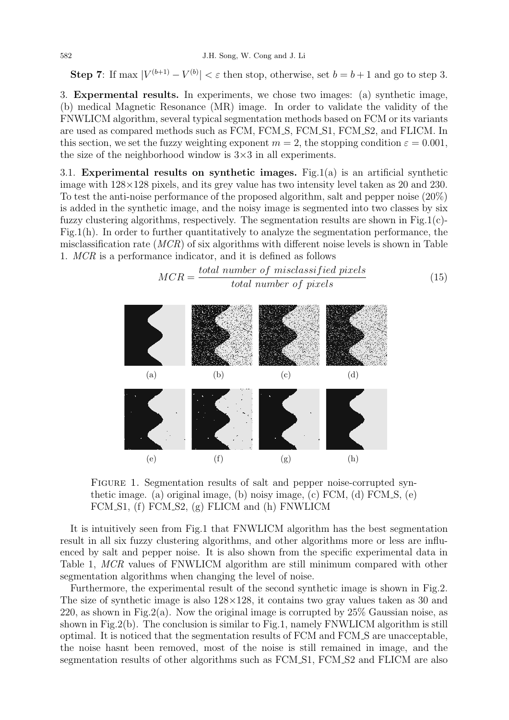**Step 7**: If max  $|V^{(b+1)} - V^{(b)}| < \varepsilon$  then stop, otherwise, set  $b = b + 1$  and go to step 3.

3. **Expermental results.** In experiments, we chose two images: (a) synthetic image, (b) medical Magnetic Resonance (MR) image. In order to validate the validity of the FNWLICM algorithm, several typical segmentation methods based on FCM or its variants are used as compared methods such as FCM, FCM\_S, FCM\_S1, FCM\_S2, and FLICM. In this section, we set the fuzzy weighting exponent  $m = 2$ , the stopping condition  $\varepsilon = 0.001$ , the size of the neighborhood window is 3*×*3 in all experiments.

3.1. **Experimental results on synthetic images.** Fig.1(a) is an artificial synthetic image with 128*×*128 pixels, and its grey value has two intensity level taken as 20 and 230. To test the anti-noise performance of the proposed algorithm, salt and pepper noise (20%) is added in the synthetic image, and the noisy image is segmented into two classes by six fuzzy clustering algorithms, respectively. The segmentation results are shown in Fig.1(c)-Fig.1(h). In order to further quantitatively to analyze the segmentation performance, the misclassification rate (*MCR*) of six algorithms with different noise levels is shown in Table 1. *MCR* is a performance indicator, and it is defined as follows



FIGURE 1. Segmentation results of salt and pepper noise-corrupted synthetic image. (a) original image, (b) noisy image, (c)  $\overline{FCM}$ , (d)  $\overline{FCM}$ , (e) FCM S1, (f) FCM S2, (g) FLICM and (h) FNWLICM

It is intuitively seen from Fig.1 that FNWLICM algorithm has the best segmentation result in all six fuzzy clustering algorithms, and other algorithms more or less are influenced by salt and pepper noise. It is also shown from the specific experimental data in Table 1, *MCR* values of FNWLICM algorithm are still minimum compared with other segmentation algorithms when changing the level of noise.

Furthermore, the experimental result of the second synthetic image is shown in Fig.2. The size of synthetic image is also 128*×*128, it contains two gray values taken as 30 and 220, as shown in Fig.2(a). Now the original image is corrupted by  $25\%$  Gaussian noise, as shown in Fig.2(b). The conclusion is similar to Fig.1, namely FNWLICM algorithm is still optimal. It is noticed that the segmentation results of FCM and FCM S are unacceptable, the noise hasnt been removed, most of the noise is still remained in image, and the segmentation results of other algorithms such as FCM\_S1, FCM\_S2 and FLICM are also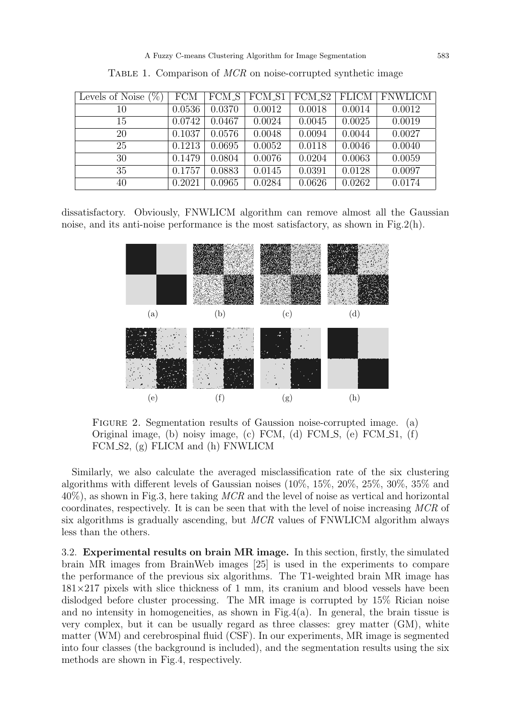| Levels of Noise $(\%)$ | <b>FCM</b> | $FCM\_S$ | $\sqrt{\text{FCM}}$ S1 |        |        | FCM_S2   FLICM   FNWLICM |
|------------------------|------------|----------|------------------------|--------|--------|--------------------------|
| 10                     | 0.0536     | 0.0370   | 0.0012                 | 0.0018 | 0.0014 | 0.0012                   |
| 15                     | 0.0742     | 0.0467   | 0.0024                 | 0.0045 | 0.0025 | 0.0019                   |
| 20                     | 0.1037     | 0.0576   | 0.0048                 | 0.0094 | 0.0044 | 0.0027                   |
| 25                     | 0.1213     | 0.0695   | 0.0052                 | 0.0118 | 0.0046 | 0.0040                   |
| 30                     | 0.1479     | 0.0804   | 0.0076                 | 0.0204 | 0.0063 | 0.0059                   |
| 35                     | 0.1757     | 0.0883   | 0.0145                 | 0.0391 | 0.0128 | 0.0097                   |
| 40                     | 0.2021     | 0.0965   | 0.0284                 | 0.0626 | 0.0262 | 0.0174                   |

TABLE 1. Comparison of *MCR* on noise-corrupted synthetic image

dissatisfactory. Obviously, FNWLICM algorithm can remove almost all the Gaussian noise, and its anti-noise performance is the most satisfactory, as shown in Fig.  $2(h)$ .



Figure 2. Segmentation results of Gaussion noise-corrupted image. (a) Original image, (b) noisy image, (c) FCM, (d) FCM S, (e) FCM S1, (f) FCM S2, (g) FLICM and (h) FNWLICM

Similarly, we also calculate the averaged misclassification rate of the six clustering algorithms with different levels of Gaussian noises (10%, 15%, 20%, 25%, 30%, 35% and 40%), as shown in Fig.3, here taking *MCR* and the level of noise as vertical and horizontal coordinates, respectively. It is can be seen that with the level of noise increasing *MCR* of six algorithms is gradually ascending, but *MCR* values of FNWLICM algorithm always less than the others.

3.2. **Experimental results on brain MR image.** In this section, firstly, the simulated brain MR images from BrainWeb images [25] is used in the experiments to compare the performance of the previous six algorithms. The T1-weighted brain MR image has 181*×*217 pixels with slice thickness of 1 mm, its cranium and blood vessels have been dislodged before cluster processing. The MR image is corrupted by 15% Rician noise and no intensity in homogeneities, as shown in Fig.4(a). In general, the brain tissue is very complex, but it can be usually regard as three classes: grey matter (GM), white matter (WM) and cerebrospinal fluid (CSF). In our experiments, MR image is segmented into four classes (the background is included), and the segmentation results using the six methods are shown in Fig.4, respectively.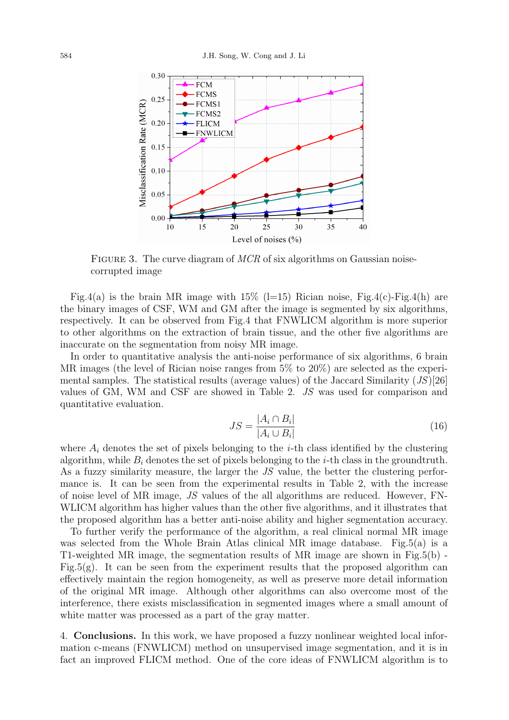

Figure 3. The curve diagram of *MCR* of six algorithms on Gaussian noisecorrupted image

Fig.4(a) is the brain MR image with  $15\%$  (l=15) Rician noise, Fig.4(c)-Fig.4(h) are the binary images of CSF, WM and GM after the image is segmented by six algorithms, respectively. It can be observed from Fig.4 that FNWLICM algorithm is more superior to other algorithms on the extraction of brain tissue, and the other five algorithms are inaccurate on the segmentation from noisy MR image.

In order to quantitative analysis the anti-noise performance of six algorithms, 6 brain MR images (the level of Rician noise ranges from 5% to 20%) are selected as the experimental samples. The statistical results (average values) of the Jaccard Similarity (*JS*)[26] values of GM, WM and CSF are showed in Table 2. *JS* was used for comparison and quantitative evaluation.

$$
JS = \frac{|A_i \cap B_i|}{|A_i \cup B_i|} \tag{16}
$$

where  $A_i$  denotes the set of pixels belonging to the *i*-th class identified by the clustering algorithm, while  $B_i$  denotes the set of pixels belonging to the  $i$ -th class in the groundtruth. As a fuzzy similarity measure, the larger the *JS* value, the better the clustering performance is. It can be seen from the experimental results in Table 2, with the increase of noise level of MR image, *JS* values of the all algorithms are reduced. However, FN-WLICM algorithm has higher values than the other five algorithms, and it illustrates that the proposed algorithm has a better anti-noise ability and higher segmentation accuracy.

To further verify the performance of the algorithm, a real clinical normal MR image was selected from the Whole Brain Atlas clinical MR image database. Fig.5(a) is a T1-weighted MR image, the segmentation results of MR image are shown in Fig.5(b) - Fig.5(g). It can be seen from the experiment results that the proposed algorithm can effectively maintain the region homogeneity, as well as preserve more detail information of the original MR image. Although other algorithms can also overcome most of the interference, there exists misclassification in segmented images where a small amount of white matter was processed as a part of the gray matter.

4. **Conclusions.** In this work, we have proposed a fuzzy nonlinear weighted local information c-means (FNWLICM) method on unsupervised image segmentation, and it is in fact an improved FLICM method. One of the core ideas of FNWLICM algorithm is to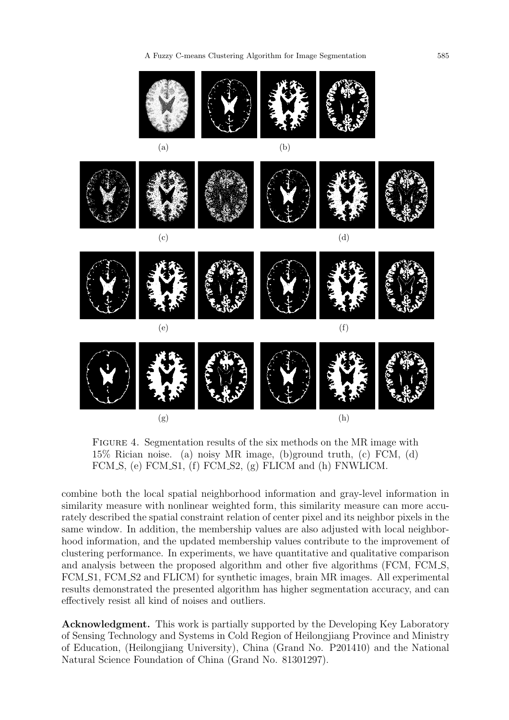A Fuzzy C-means Clustering Algorithm for Image Segmentation 585



Figure 4. Segmentation results of the six methods on the MR image with 15% Rician noise. (a) noisy MR image, (b)ground truth, (c) FCM, (d) FCM S, (e) FCM S1, (f) FCM S2, (g) FLICM and (h) FNWLICM.

combine both the local spatial neighborhood information and gray-level information in similarity measure with nonlinear weighted form, this similarity measure can more accurately described the spatial constraint relation of center pixel and its neighbor pixels in the same window. In addition, the membership values are also adjusted with local neighborhood information, and the updated membership values contribute to the improvement of clustering performance. In experiments, we have quantitative and qualitative comparison and analysis between the proposed algorithm and other five algorithms (FCM, FCM S, FCM S1, FCM S2 and FLICM) for synthetic images, brain MR images. All experimental results demonstrated the presented algorithm has higher segmentation accuracy, and can effectively resist all kind of noises and outliers.

**Acknowledgment.** This work is partially supported by the Developing Key Laboratory of Sensing Technology and Systems in Cold Region of Heilongjiang Province and Ministry of Education, (Heilongjiang University), China (Grand No. P201410) and the National Natural Science Foundation of China (Grand No. 81301297).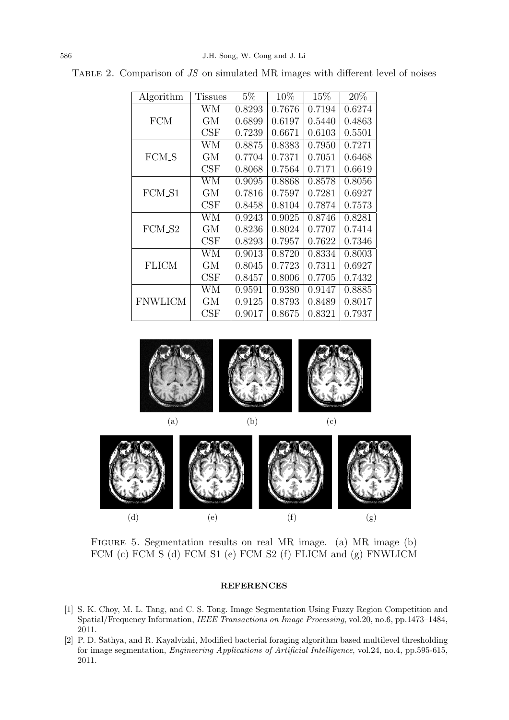| Algorithm      | <b>Tissues</b> | $5\%$  | 10\%   | 15%    | 20%    |
|----------------|----------------|--------|--------|--------|--------|
| <b>FCM</b>     | WМ             | 0.8293 | 0.7676 | 0.7194 | 0.6274 |
|                | GМ             | 0.6899 | 0.6197 | 0.5440 | 0.4863 |
|                | CSF            | 0.7239 | 0.6671 | 0.6103 | 0.5501 |
| FCM_S          | WМ             | 0.8875 | 0.8383 | 0.7950 | 0.7271 |
|                | GМ             | 0.7704 | 0.7371 | 0.7051 | 0.6468 |
|                | CSF            | 0.8068 | 0.7564 | 0.7171 | 0.6619 |
| FCM_S1         | WМ             | 0.9095 | 0.8868 | 0.8578 | 0.8056 |
|                | GМ             | 0.7816 | 0.7597 | 0.7281 | 0.6927 |
|                | CSF            | 0.8458 | 0.8104 | 0.7874 | 0.7573 |
| FCM_S2         | WМ             | 0.9243 | 0.9025 | 0.8746 | 0.8281 |
|                | GМ             | 0.8236 | 0.8024 | 0.7707 | 0.7414 |
|                | CSF            | 0.8293 | 0.7957 | 0.7622 | 0.7346 |
| <b>FLICM</b>   | WМ             | 0.9013 | 0.8720 | 0.8334 | 0.8003 |
|                | GМ             | 0.8045 | 0.7723 | 0.7311 | 0.6927 |
|                | CSF            | 0.8457 | 0.8006 | 0.7705 | 0.7432 |
| <b>FNWLICM</b> | WМ             | 0.9591 | 0.9380 | 0.9147 | 0.8885 |
|                | GМ             | 0.9125 | 0.8793 | 0.8489 | 0.8017 |
|                | $\rm{CSF}$     | 0.9017 | 0.8675 | 0.8321 | 0.7937 |

Table 2. Comparison of *JS* on simulated MR images with different level of noises

![](_page_8_Picture_3.jpeg)

![](_page_8_Figure_4.jpeg)

Figure 5. Segmentation results on real MR image. (a) MR image (b) FCM (c) FCM S (d) FCM S1 (e) FCM S2 (f) FLICM and (g) FNWLICM

## **REFERENCES**

- [1] S. K. Choy, M. L. Tang, and C. S. Tong. Image Segmentation Using Fuzzy Region Competition and Spatial/Frequency Information, *IEEE Transactions on Image Processing*, vol.20, no.6, pp.1473–1484, 2011.
- [2] P. D. Sathya, and R. Kayalvizhi, Modified bacterial foraging algorithm based multilevel thresholding for image segmentation, *Engineering Applications of Artificial Intelligence*, vol.24, no.4, pp.595-615, 2011.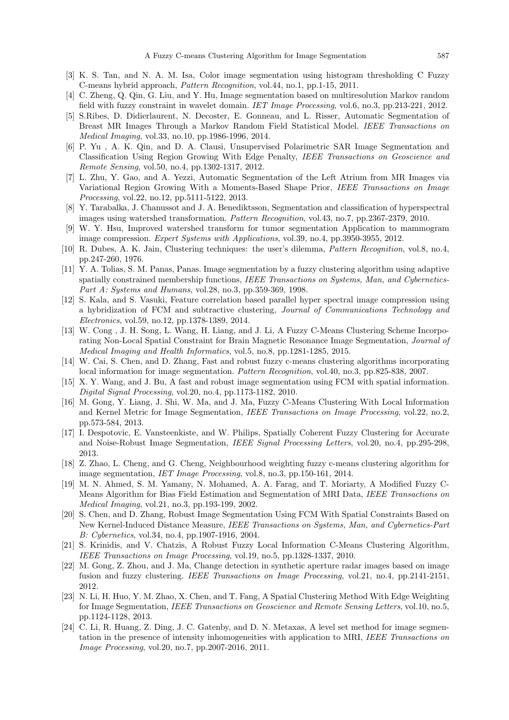- [3] K. S. Tan, and N. A. M. Isa, Color image segmentation using histogram thresholding C Fuzzy C-means hybrid approach, *Pattern Recognition*, vol.44, no.1, pp.1-15, 2011.
- [4] C. Zheng, Q. Qin, G. Liu, and Y. Hu, Image segmentation based on multiresolution Markov random field with fuzzy constraint in wavelet domain. *IET Image Processing*, vol.6, no.3, pp.213-221, 2012.
- [5] S.Ribes, D. Didierlaurent, N. Decoster, E. Gonneau, and L. Risser, Automatic Segmentation of Breast MR Images Through a Markov Random Field Statistical Model. *IEEE Transactions on Medical Imaging*, vol.33, no.10, pp.1986-1996, 2014.
- [6] P. Yu , A. K. Qin, and D. A. Clausi, Unsupervised Polarimetric SAR Image Segmentation and Classification Using Region Growing With Edge Penalty, *IEEE Transactions on Geoscience and Remote Sensing*, vol.50, no.4, pp.1302-1317, 2012.
- [7] L. Zhu, Y. Gao, and A. Yezzi, Automatic Segmentation of the Left Atrium from MR Images via Variational Region Growing With a Moments-Based Shape Prior, *IEEE Transactions on Image Processing*, vol.22, no.12, pp.5111-5122, 2013.
- [8] Y. Tarabalka, J. Chanussot and J. A. Benediktsson, Segmentation and classification of hyperspectral images using watershed transformation. *Pattern Recognition*, vol.43, no.7, pp.2367-2379, 2010.
- [9] W. Y. Hsu, Improved watershed transform for tumor segmentation Application to mammogram image compression. *Expert Systems with Applications*, vol.39, no.4, pp.3950-3955, 2012.
- [10] R. Dubes, A. K. Jain, Clustering techniques: the user's dilemma, *Pattern Recognition*, vol.8, no.4, pp.247-260, 1976.
- [11] Y. A. Tolias, S. M. Panas, Panas. Image segmentation by a fuzzy clustering algorithm using adaptive spatially constrained membership functions, *IEEE Transactions on Systems, Man, and Cybernetics-Part A: Systems and Humans*, vol.28, no.3, pp.359-369, 1998.
- [12] S. Kala, and S. Vasuki, Feature correlation based parallel hyper spectral image compression using a hybridization of FCM and subtractive clustering, *Journal of Communications Technology and Electronics*, vol.59, no.12, pp.1378-1389, 2014.
- [13] W. Cong , J. H. Song, L. Wang, H. Liang, and J. Li, A Fuzzy C-Means Clustering Scheme Incorporating Non-Local Spatial Constraint for Brain Magnetic Resonance Image Segmentation, *Journal of Medical Imaging and Health Informatics*, vol.5, no.8, pp.1281-1285, 2015.
- [14] W. Cai, S. Chen, and D. Zhang, Fast and robust fuzzy c-means clustering algorithms incorporating local information for image segmentation. *Pattern Recognition*, vol.40, no.3, pp.825-838, 2007.
- [15] X. Y. Wang, and J. Bu, A fast and robust image segmentation using FCM with spatial information. *Digital Signal Processing*, vol.20, no.4, pp.1173-1182, 2010.
- [16] M. Gong, Y. Liang, J. Shi, W. Ma, and J. Ma, Fuzzy C-Means Clustering With Local Information and Kernel Metric for Image Segmentation, *IEEE Transactions on Image Processing*, vol.22, no.2, pp.573-584, 2013.
- [17] I. Despotovic, E. Vansteenkiste, and W. Philips, Spatially Coherent Fuzzy Clustering for Accurate and Noise-Robust Image Segmentation, *IEEE Signal Processing Letters*, vol.20, no.4, pp.295-298, 2013.
- [18] Z. Zhao, L. Cheng, and G. Cheng, Neighbourhood weighting fuzzy c-means clustering algorithm for image segmentation, *IET Image Processing*, vol.8, no.3, pp.150-161, 2014.
- [19] M. N. Ahmed, S. M. Yamany, N. Mohamed, A. A. Farag, and T. Moriarty, A Modified Fuzzy C-Means Algorithm for Bias Field Estimation and Segmentation of MRI Data, *IEEE Transactions on Medical Imaging*, vol.21, no.3, pp.193-199, 2002.
- [20] S. Chen, and D. Zhang, Robust Image Segmentation Using FCM With Spatial Constraints Based on New Kernel-Induced Distance Measure, *IEEE Transactions on Systems, Man, and Cybernetics-Part B: Cybernetics*, vol.34, no.4, pp.1907-1916, 2004.
- [21] S. Krinidis, and V. Chatzis, A Robust Fuzzy Local Information C-Means Clustering Algorithm, *IEEE Transactions on Image Processing*, vol.19, no.5, pp.1328-1337, 2010.
- [22] M. Gong, Z. Zhou, and J. Ma, Change detection in synthetic aperture radar images based on image fusion and fuzzy clustering. *IEEE Transactions on Image Processing*, vol.21, no.4, pp.2141-2151, 2012.
- [23] N. Li, H. Huo, Y. M. Zhao, X. Chen, and T. Fang, A Spatial Clustering Method With Edge Weighting for Image Segmentation, *IEEE Transactions on Geoscience and Remote Sensing Letters*, vol.10, no.5, pp.1124-1128, 2013.
- [24] C. Li, R. Huang, Z. Ding, J. C. Gatenby, and D. N. Metaxas, A level set method for image segmentation in the presence of intensity inhomogeneities with application to MRI, *IEEE Transactions on Image Processing*, vol.20, no.7, pp.2007-2016, 2011.